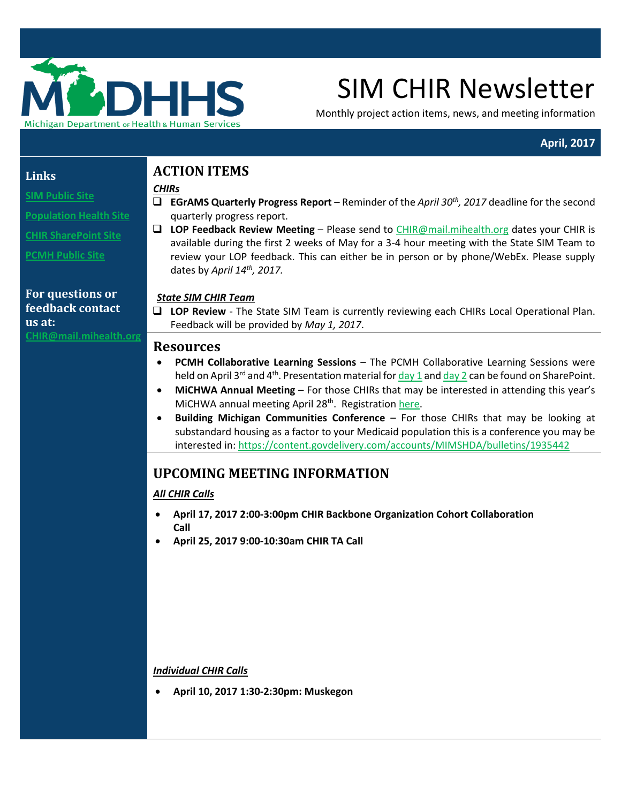

# SIM CHIR Newsletter

Monthly project action items, news, and meeting information

## **April, 2017**

#### **Links**

**[SIM Public Site](http://www.michigan.gov/mdhhs/0,5885,7-339-71551_2945_64491_76092---,00.html)**

**[Population Health Site](http://www.michigan.gov/mdhhs/0,5885,7-339-71551_2945_64491_76092_77453---,00.html)**

**[CHIR SharePoint Site](https://stateofmichigan.sharepoint.com/teams/dhhs/bic/msacss/SIM/SitePages/CHIR.aspx)**

**[PCMH Public Site](http://www.michigan.gov/mdhhs/0,5885,7-339-71551_2945_64491_76092_77452---,00.html)** 

#### **For questions or feedback contact us at: C[HIR@mail.mihealth.org](mailto:CHIR@mail.mihealth.org)**

# **ACTION ITEMS**

*CHIRs*

- **EGrAMS Quarterly Progress Report**  Reminder of the *April 30th, 2017* deadline for the second quarterly progress report.
- **LOP Feedback Review Meeting** Please send to [CHIR@mail.mihealth.org](mailto:CHIR@mail.mihealth.org) dates your CHIR is available during the first 2 weeks of May for a 3-4 hour meeting with the State SIM Team to review your LOP feedback. This can either be in person or by phone/WebEx. Please supply dates by *April 14th , 2017.*

### *State SIM CHIR Team*

 **LOP Review** - The State SIM Team is currently reviewing each CHIRs Local Operational Plan. Feedback will be provided by *May 1, 2017*.

### **Resources**

- **PCMH Collaborative Learning Sessions** The PCMH Collaborative Learning Sessions were held on April 3<sup>rd</sup> and 4<sup>th</sup>. Presentation material for  $\frac{day}{1}$  and  $\frac{day}{2}$  can be found on SharePoint.
- **MiCHWA Annual Meeting** For those CHIRs that may be interested in attending this year's MiCHWA annual meeting April 28<sup>th</sup>. Registration [here.](http://www.michwa.org/michwa-annual-meeting-2017/registration/)
- **Building Michigan Communities Conference** For those CHIRs that may be looking at substandard housing as a factor to your Medicaid population this is a conference you may be interested in:<https://content.govdelivery.com/accounts/MIMSHDA/bulletins/1935442>

# **UPCOMING MEETING INFORMATION**

## *All CHIR Calls*

- **April 17, 2017 2:00-3:00pm CHIR Backbone Organization Cohort Collaboration Call**
- **April 25, 2017 9:00-10:30am CHIR TA Call**

#### *Individual CHIR Calls*

**April 10, 2017 1:30-2:30pm: Muskegon**